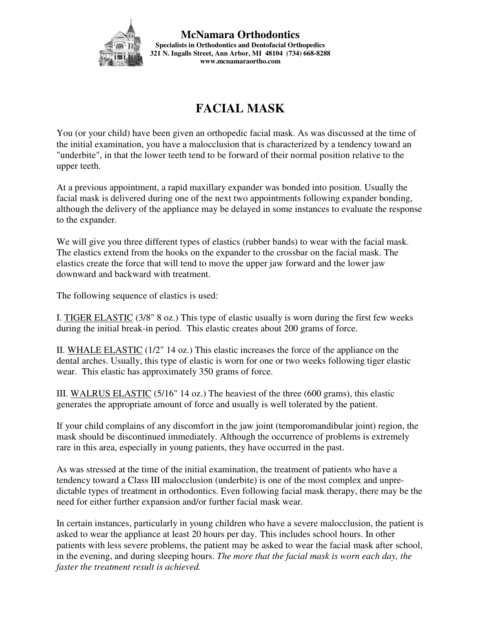

**McNamara Orthodontics Specialists in Orthodontics and Dentofacial Orthopedics 321 N. Ingalls Street, Ann Arbor, MI 48104 (734) 668-8288 www.mcnamaraortho.com** 

## **FACIAL MASK**

You (or your child) have been given an orthopedic facial mask. As was discussed at the time of the initial examination, you have a malocclusion that is characterized by a tendency toward an "underbite", in that the lower teeth tend to be forward of their normal position relative to the upper teeth.

At a previous appointment, a rapid maxillary expander was bonded into position. Usually the facial mask is delivered during one of the next two appointments following expander bonding, although the delivery of the appliance may be delayed in some instances to evaluate the response to the expander.

We will give you three different types of elastics (rubber bands) to wear with the facial mask. The elastics extend from the hooks on the expander to the crossbar on the facial mask. The elastics create the force that will tend to move the upper jaw forward and the lower jaw downward and backward with treatment.

The following sequence of elastics is used:

I. TIGER ELASTIC (3/8" 8 oz.) This type of elastic usually is worn during the first few weeks during the initial break-in period. This elastic creates about 200 grams of force.

II. WHALE ELASTIC (1/2" 14 oz.) This elastic increases the force of the appliance on the dental arches. Usually, this type of elastic is worn for one or two weeks following tiger elastic wear. This elastic has approximately 350 grams of force.

III. WALRUS ELASTIC (5/16" 14 oz.) The heaviest of the three (600 grams), this elastic generates the appropriate amount of force and usually is well tolerated by the patient.

If your child complains of any discomfort in the jaw joint (temporomandibular joint) region, the mask should be discontinued immediately. Although the occurrence of problems is extremely rare in this area, especially in young patients, they have occurred in the past.

As was stressed at the time of the initial examination, the treatment of patients who have a tendency toward a Class III malocclusion (underbite) is one of the most complex and unpredictable types of treatment in orthodontics. Even following facial mask therapy, there may be the need for either further expansion and/or further facial mask wear.

In certain instances, particularly in young children who have a severe malocclusion, the patient is asked to wear the appliance at least 20 hours per day. This includes school hours. In other patients with less severe problems, the patient may be asked to wear the facial mask after school, in the evening, and during sleeping hours. *The more that the facial mask is worn each day, the faster the treatment result is achieved.*